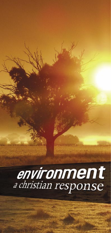# **environment**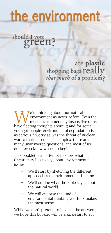## the environment

should I vote n?

are plastic shopping bags really<br>that much of a problem?

e're thinking about our natural environment as never before. Even the most environmentally insensitive of us have fleeting thoughts about it; and for some younger people, environmental degradation is as serious a worry as was the threat of nuclear war to their parents. It's complex, there are many unanswered questions, and most of us don't even know where to begin.

This booklet is an attempt to show what Christianity has to say about environmental issues.

- We'll start by sketching the different approaches to environmental thinking.
- We'll outline what the Bible says about the natural world.
- We will endorse the kind of environmental thinking we think makes the most sense.

e answers. art to act.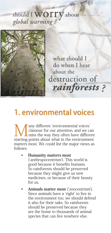## should I WOTTY about



what should I do when I hear about the destruction of rainforests?

#### 1. environmental voices

Many different 'environmental voices'<br>clamour for our attention, and we can<br>estating points about what in the opyrronment clamour for our attention, and we can miss the way they often have different starting-points about what in the environment matters most. We could list the major views as

• **Humanity matters most** 

(ʻanthropocentrism'). This world is good because it benefits humans. So rainforests should be preserved because they might give us new medicines, or because of their beauty for us.

• **Animals matter most** (ʻzoocentrism'). Since animals have a ʻright' to live in the environment too, we should defend it also for their sake. So rainforests should be preserved because they are the home to thousands of animal species that can live nowhere else.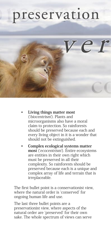## preservation



• **Living things matter most**  (ʻbiocentrism'). Plants and microorganisms also have a moral claim to protection. So rainforests should be preserved because each and every living object in it is a wonder that should not be extinguished.

• **Complex ecological systems matter most** (ʻecocentrism'). Entire ecosystems are entities in their own right which must be preserved in all their complexity. So rainforests should be preserved because each is a unique and complex array of life and terrain that is irreplaceable.

The first bullet point is a conservationist view, where the natural order is ʻconserved' for ongoing human life and use.

The last three bullet points are a preservationist view, where aspects of the natural order are ʻpreserved' for their own sake. The whole spectrum of views can serve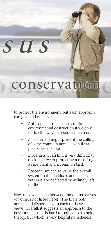sus

## conservation

to protect the environment, but each approach can give odd results:

- Anthropocentrism can result in environmental destruction if we only notice the way its resources help us.
- Zoocentrism might prevent the culling of some common animal even if rare plants are at stake.
- Biocentrism can find it very difficult to decide between protecting a rare frog, a rare plant and a common bird.
- Ecocentrism can so value the overall system that individuals and species within it are neglected or willingly left to die.

How may we decide between these alternatives (or others not listed here)? The Bible both agrees and disagrees with each of these views. Overall, it suggests an approach to the environment that is hard to reduce to a single theory, but which is very helpful nonetheless.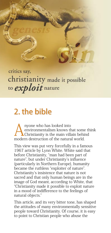

critics say, christianity made it possible to *exploit* nature

### 2. the bible

nyone who has looked into environmentalism knows that some think Christianity is the main villain behind modern destruction of the natural world.

This view was put very forcefully in a famous 1967 article by Lynn White. White said that before Christianity, "man had been part of nature", but under Christianity's influence (particularly in Northern Europe), humanity became the ruthless "exploiter of nature". Christianity's insistence that nature is not sacred and that only human beings are in the image of God meant, according to White, that "Christianity made it possible to exploit nature in a mood of indifference to the feelings of natural objects."

This article, and its very bitter tone, has shaped the attitudes of many environmentally sensitive people toward Christianity. Of course, it is easy to point to Christian people who abuse the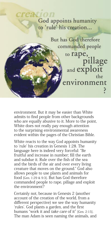God appoints humanity to 'rule' his creation...

But has God therefore commanded people to rape, pillage<br>and exploit the environment

environment. But it may be easier than White admits to find people from other backgrounds who are equally abusive to it. More to the point, White does not really pay enough attention to the surprising environmental awareness evident within the pages of the Christian Bible.

White reacts to the way God appoints humanity to ʻrule' his creation in Genesis 1:28. The language here is indeed very forceful: "Be fruitful and increase in number; fill the earth and subdue it. Rule over the fish of the sea and the birds of the air and over every living creature that moves on the ground." God also allows people to use plants and animals for food [Gen. 1:29 & 9:3]. But has God therefore commanded people to rape, pillage and exploit the environment?

Certainly not, because in Genesis 2 (another account of the creation of the world, from a different perspective) we see the way humanity ʻrules'. God plants a garden, and the first humans "work it and take care of it" [Gen. 2:15]. The man Adam is seen naming the animals, and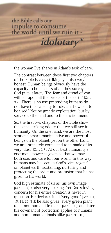the Bible calls our impulse to comsume<br>the world until we ruin it -

the woman Eve shares in Adam's task of care.

idolotary\*

The contrast between these first two chapters of the Bible is very striking, yet also very honest. Human beings obviously have the capacity to be masters of all they survey: as God puts it later, "The fear and dread of you will fall upon all the beasts of the earth" [Gen. 9:2]. There is no use pretending humans do not have this capacity to rule. But how is it to be used? Not by greedy exploitation, but by service to the land and to the environment.

So, the first two chapters of the Bible show the same striking oddity that we still see in humanity. On the one hand, we are the most sentient, smart, manipulative and powerful beings on the planet; yet on the other hand, we are intimately connected to it, made of its very ʻdust' [Gen. 2:7]. At our best, humanity's enormous power is given so that we may both use, and care for, our world. In this way, humans may be seen as God's ʻvice-regent' on planet earth, sustaining, nurturing and protecting the order and profusion that he has given to his world.

God high estimate of us as ʻhis own image' [Gen. 1:27] is also very striking. Yet God's loving concern for his entire creation is never in question. He declares it all "very good" [Gen. 1:4, 10, 19, 25, 31]; he also gives "every green plant" to all non-human life to eat [Gen. 1:30]; and later, his covenant of protection applies to humans and non-human animals alike [Gen. 9:9-10].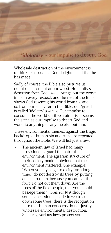

Wholesale destruction of the environment is unthinkable, because God delights in all that he has made.

Sadly of course, the Bible also pictures us not at our best, but at our worst. Humanity's desertion from God [Gen. 3] brings out the worst in us in every respect; and the rest of the Bible shows God rescuing his world from us, and us from our sin. Later in the Bible, our ʻgreed' is called ʻidolatry' [Col. 3:5]. Our impulse to consume the world until we ruin it is, it seems, the same as our impulse to desert God and worship anything or anyone else but him.

These environmental themes, against the tragic backdrop of human sin and ruin, are repeated throughout the Bible. We will list just a few:

The ancient **law** of Israel had many provisions to guard the natural environment. The agrarian structure of their society made it obvious that the environment mattered. One example: "When you lay siege to a city for a long time... do not destroy its trees by putting an axe to them, because you can eat their fruit. Do not cut them down. Are the trees of the field people, that you should besiege them?" [Deut. 20:19] Although some concession is made in v20 to cut down some trees, there is the recognition here that human concerns do not justify wholesale environmental destruction. Similarly, various laws protect some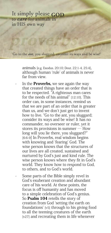It simply please GOD to *care* for animals in in HIS own way

'Go to the *ant*, you sluggard; consider its ways and be wise!'

animals [e.g. Exodus. 20:10; Deut. 22:1-4, 25:4], although human ʻrule' of animals is never far from view.

- In the Proverbs, we see again the way that created things have an order that is to be respected. "A righteous man cares for the needs of his animal" [12:10]. This order can, in some instances, remind us that we are part of an order that is greater than us, and we don't just get to invent how to live. "Go to the ant, you sluggard; consider its ways and be wise! It has no commander, no overseer or ruler, yet it stores its provisions in summer … How long will you lie there, you sluggard?" [6:6-9] In Proverbs, real wisdom begins with knowing and ʻfearing' God. The wise person knows that the structures of our lives are all created, sustained and nurtured by God's just and kind rule. The wise person knows where they fit in God's world. They know how to respond to God, to others, and to God's world.
- Some parts of the Bible simply revel in God's exuberant creation and abundant care of his world. At these points, the focus is off humanity and has moved to a simple celebration of God's genius. So Psalm 104 retells the story of creation from God ʻsetting the earth on foundations' [v5] through to his giving food to all the teeming creatures of the earth [v27] and recreating them in life whenever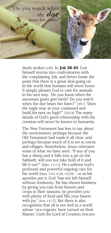

death strikes [v30]. In  $\rm{Iob}$   $38\text{-}40$ . God himself storms into confrontation with the complaining Job, and drives home the point that there is a great deal going on in the world that humans will never know. It simply pleases God to care for animals in his own way. "Do you know when the mountain goats give birth? Do you watch when the doe bears her fawn?" [39:1] "Does the eagle soar at your command and build his nest on high?" [39:24] The many details of God's good relationship with his creation will never be known to humanity.

The New Testament has less to say about the environment, perhaps because the Old Testament had made it all clear, and perhaps because much of it is set in towns and villages. Nonetheless, Jesus reiterates some of what we have seen. "If any of you has a sheep and it falls into a pit on the Sabbath, will you not take hold of it and lift it out?" [Matt. 12:11]. He confirms God's profound and powerful ongoing care for his world [Matt. 5:45, 6:26, 10:29] ‒ or as his apostles put it, God "has not left himself without testimony: He has shown kindness by giving you rain from heaven and crops in their seasons; he provides you with plenty of food and fills your hearts with joy" [Acts 14:17]. But there is also recognition that all is not well in a world whose ʻvice-regents' have turned on their Master. Until the Lord of Creation rescues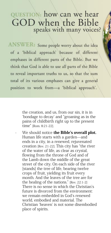#### QUESTION: how can we hear GOD when the Bible speaks with many voices?

ANSWER: Some people worry about the idea of a 'biblical approach' because of different emphases in different parts of the Bible. But we think that God is able to use all parts of the Bible to reveal important truths to us, so that the sum total of its various emphases can give a general position to work from-a 'biblical approach'.

> the creation, and us, from our sin, it is in ʻbondage to decay' and "groaning as in the pains of childbirth right up to the present time" [Rom. 8:21-22].

We should notice the Bible's overall plot. Human life starts with a garden—and ends in a city, in a renewed, rejuvenated creation [Rev. 21-22]. This city has "the river of the water of life, as clear as crystal, flowing from the throne of God and of the Lamb down the middle of the great street of the city. On each side of the river [stands] the tree of life, bearing twelve crops of fruit, yielding its fruit every month. And the leaves of the tree are for the healing of the nations." [Rev. 22:1-2] There is no sense in which the Christian's future is divorced from the environment: we remain embedded in God's renewed world, embodied and material. The Christian ʻheaven' is not some disembodied place of spirits.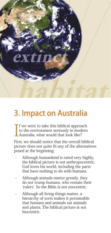

#### 3. Impact on Australia

I f we were to take this biblical approach to the environment seriously in modern Australia, what would that look like?

First, we should notice that the overall biblical picture does not quite fit any of the alternatives posed at the beginning:

- Although humankind is rated very highly, the biblical picture is not anthropocentric. God loves his world, including the parts that have nothing to do with humans.
- Although animals matter greatly, they do not trump humans, who remain their ʻrulers'. So the Bible is not zoocentric.
- Although all living things matter, a hierarchy of sorts makes it permissible that humans and animals eat animals and plants. The biblical picture is not biocentric.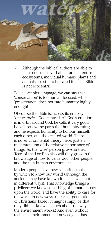

Although the biblical authors are able to paint enormous verbal pictures of entire ecosystems, individual humans, plants and animals are still to be cared for. The Bible is not ecocentric.

To use simpler language, we can say that ʻconservation' is too human-focused, while ʻpreservation' does not rate humanity highly enough!

Of course the Bible is, across its entirety, ʻtheocentric' - God-centred. All God's creation is in orbit around God; he calls it very good; he will renew the parts that humanity ruins; and he expects humanity to honour himself, each other, and the created world. There is no ʻenvironmental theory' here, just an understanding of the relative importance of things. As the ʻwise' person grows in their ʻfear' of the Lord' so also will they grow in the knowledge of how to value God, other people, and the non-human environment.

Modern people have new scientific ʻtools' by which to know our world (although the ancients may have known it just as well, but in different ways). That knowledge brings a privilege: we know something of human impact upon the world, and have the ability to care for the world in new ways. (If earlier generations of Christians ʻfailed', it might simply be that they did not know as much about the way the environment works.) And even without technical environmental knowledge, it has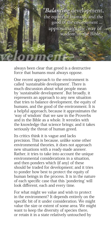

always been clear that greed is a destructive force that humans must always oppose.

One recent approach to the environment is called ʻsustainable development'. There is much discussion about what people mean by ʻsustainable development'. But broadly, it represents an approach to any new situation that tries to balance development, the equity of humans, and the good of the environment. It is a helpful approach, because it approximates the ʻway of wisdom' that we saw in the Proverbs and in the Bible as a whole. It wrestles with the knowledge that science brings; and it takes seriously the threat of human greed.

Its critics think it is vague and lacks precision. This is because, unlike some other environmental theories, it does not approach new situations with a ready-made answer. Rather, it tries to take into account the unique environmental considerations in a situation, and then ponders which (if any) of these should be traded for development; and it tries to ponder how best to protect the equity of human beings in the process. It is in the nature of each specific case that this ʻpondering' will look different, each and every time.

For what might we value and wish to protect in the environment? It depends entirely on the specific bit of it under consideration. We might value the size or extent of some area. We might want to keep the diversity of species there, or retain it in a state relatively untouched by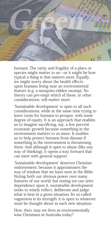

humans. The rarity and fragility of a place or species might matter to us—or it might be how typical a thing is that matters most. Equally, we might worry about the health effects upon humans living near an environmental feature (e.g. a mosquito-ridden swamp). No theory can pre-empt which of these, or other considerations, will matter more.

ʻSustainable development' is open to all such considerations, while at the same time trying to leave room for humans to prosper, with some degree of equity. It is an approach that enables us to imagine sacrificing, say, a few percent economic growth because something in the environment matters to us more. It enables us to help protect humans from disease if something in the environment is threatening them. And although it open to abuse (like any way of thinking), it opens a way forward that can meet with general support.

ʻSustainable development' deserves Christian endorsement, because it approximates the way of wisdom that we have seen in the Bible. Noting both our obvious power over many features of our world, but noting too our utter dependence upon it, sustainable development seeks to wisely reflect, deliberate and judge what is best in a given situation. Its so-called vagueness is its strength: it is open to whatever must be thought about in each new situation.

How, then, may we lives as environmentally wise Christians in Australia today?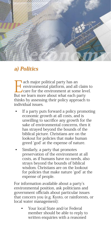

#### a) Politics

**Example 15 All party has an environmental platform, and all care for the environment at some platform and all party we have a solution of the environment at some** environmental platform, and all claim to care for the environment at some level. But we learn more about what each party thinks by assessing their policy approach to individual issues.

- If a party puts forward a policy promoting economic growth at all costs, and is unwilling to sacrifice any growth for the sake of environmental concerns, then it has strayed beyond the bounds of the biblical picture. Christians are on the lookout for policies that make human greed ʻgod' at the expense of nature.
- Similarly, a party that promotes preservation of the environment at all costs, as if humans have no needs, also strays beyond the bounds of biblical wisdom. Christians are on the lookout for policies that make nature ʻgod' at the expense of people.

For information available about a party's environmental position, ask politicians and government officials about particular issues that concern you (e.g. Kyoto, or rainforests, or local water management):

• Your local State and/or Federal member should be able to reply to written enquiries with a reasoned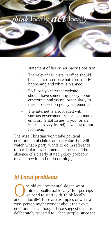

statement of his or her party's position.

- The relevant Minister's office should be able to describe what is currently happening and what is planned.
- Each party's internet website should have something to say about environmental issues, particularly in their pre-election policy statements.
- The internet is also loaded with various government reports on many environmental issues, if you (or an internet-savvy friend) is willing to hunt for them.

The wise Christian won't take political environmental claims at face-value, but will watch what a party wants to do in reference to particular environmental concerns. (The absence of a clearly stated policy probably means they intend to do nothing.)

#### b) Local problems

**O**ne old environmental slogan went<br>
we need to start with 'think locally<br>
and act locally' Here are examples of wh ʻthink globally, act locally.' But perhaps we need to start with ʻthink locally and act locally'. Here are examples of what a wise person might wonder about their own environment (although these suggestions are deliberately targeted to urban people, since the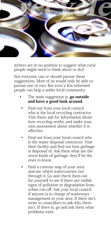

writers are in no position to suggest what rural people might need to think about or do!)

Not everyone can or should pursue these suggestions. Most of us would only be able to pursue one or two. But even a few informed people can help a wider local community.

- The main suggestion is, go outside and have a good look around.
	- Find out from your local council who is the local recycling contractor. Visit them, ask for information about how recycling works, and make your own assessment about whether it is effective.
	- Find out from your local council who is the waste disposal contractor. Visit their facility and find out how garbage is disposed of. Ask them what are the worst kinds of garbage; they'll be the ones to know.
	- Find a contour map of your area. and see which watercourses run through it. Go and check them out for yourself to see if there are visible signs of pollution or degradation from urban run-off. Ask your local council if anyone is in charge of waterways management in your area. If there isn't, write to councillors to ask why there isn't. If there is, go and ask them what problems exist.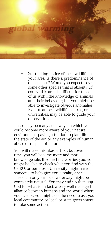

• Start taking notice of local wildlife in your area. Is there a predominance of one species? Would you expect to see some other species that is absent? Of course this area is difficult for those of us with little knowledge of animals and their behaviour; but you might be able to investigate obvious anomalies. Experts at local wildlife centres, or universities, may be able to guide your observations.

There may be many such ways in which you could become more aware of your natural environment, paying attention to plant life, the state of the air, or any examples of human abuse or respect of nature.

You will make mistakes at first, but over time, you will become more and more knowledgeable. If something worries you, you might be able to check what you find with the CSIRO; or perhaps a University might have someone to help give you a reality-check. The scum on your local waterway might be completely natural! You may end up thanking God for what is, in fact, a very well-managed alliance between humans and the world where you live; or, you might see the need to ask your local community, or local or state government, to take some action.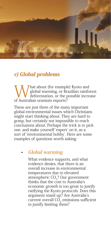

#### c) Global problems

What about (for example) Kyoto and<br>deforestation, or the possible increase<br>of Australian uranium exports? global warming, or Brazilian rainforest of Australian uranium exports?

These are just three of the many important global environmental issues which Christians might start thinking about. They are hard to grasp, but certainly not impossible to reach conclusions about. Perhaps the trick is to pick one, and make yourself ʻexpert' on it, as a sort of ʻenvironmental hobby'. Here are some examples of questions worth asking:

#### • **Global warming**

 What evidence supports, and what evidence denies, that there is an overall increase in environmental temperatures due to elevated atmospheric CO<sub>2</sub>? Our government thinks that the cost to Australia's economic growth is too great to justify ratifying the Kyoto protocols. Does this argument stand up? Are Australia's current overall  $CO<sub>2</sub>$  emissions sufficient to justify limiting them?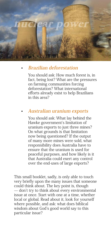

#### • **Brazilian deforestation**

 You should ask: How much forest is, in fact, being lost? What are the pressures on farming communities forcing deforestation? What international efforts already exist to help Brazilians in this area?

#### • **Australian uranium exports**

 You should ask: What lay behind the Hawke government's limitation of uranium exports to just three mines? On what grounds is that limitation now being questioned? If the output of many more mines were sold, what responsibility does Australia have to ensure that the uranium is used for peaceful purposes, and how likely is it that Australia could exert any control over the end-uses of large exports?

This small booklet, sadly, is only able to touch very briefly upon the many issues that someone could think about. The key point is, though ̶ don't try to think about every environmental issue at once. Start with one at a time, whether local or global. Read about it, look for yourself where possible, and ask: what does biblical wisdom about God's good world say to this particular issue?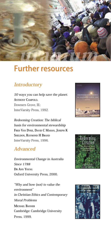

#### Further resources

#### **Introductory**

50 ways you can help save the planet. **ANTHONY CAMPOLO.** Downers Grove, Ill.: InterVarsity Press, 1992.

Redeeming Creation: The biblical basis for environmental stewardship **FRED VAN DYKE, DAVID C MAHAN, JOSEPH K SHELDON, RAYMOND H BRAND** InterVarsity Press, 1996.

#### **Advanced**

Environmental Change in Australia Since 1788 **DR ANN YOUNG** Oxford University Press, 2000.

"Why and how (not) to value the environment" in Christian Ethics and Contemporary Moral Problems **MICHAEL BANNER** Cambridge: Cambridge University Press, 1999.